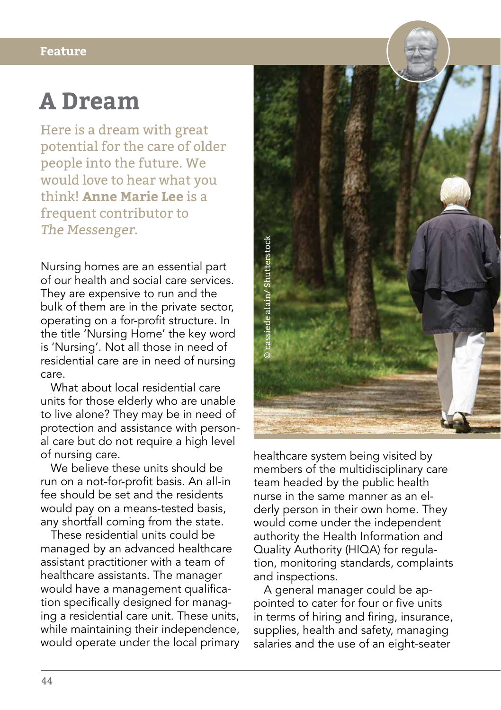## **Feature**

## **A Dream**

Here is a dream with great potential for the care of older people into the future. We would love to hear what you think! **Anne Marie Lee** is a frequent contributor to The Messenger.

Nursing homes are an essential part of our health and social care services. They are expensive to run and the bulk of them are in the private sector, operating on a for-profit structure. In the title 'Nursing Home' the key word is 'Nursing'. Not all those in need of residential care are in need of nursing care.

What about local residential care units for those elderly who are unable to live alone? They may be in need of protection and assistance with personal care but do not require a high level of nursing care.

We believe these units should be run on a not-for-profit basis. An all-in fee should be set and the residents would pay on a means-tested basis, any shortfall coming from the state.

These residential units could be managed by an advanced healthcare assistant practitioner with a team of healthcare assistants. The manager would have a management qualification specifically designed for managing a residential care unit. These units, while maintaining their independence, would operate under the local primary



healthcare system being visited by members of the multidisciplinary care team headed by the public health nurse in the same manner as an elderly person in their own home. They would come under the independent authority the Health Information and Quality Authority (HIQA) for regulation, monitoring standards, complaints and inspections.

A general manager could be appointed to cater for four or five units in terms of hiring and firing, insurance, supplies, health and safety, managing<br>salaries and the use of an eight-seater